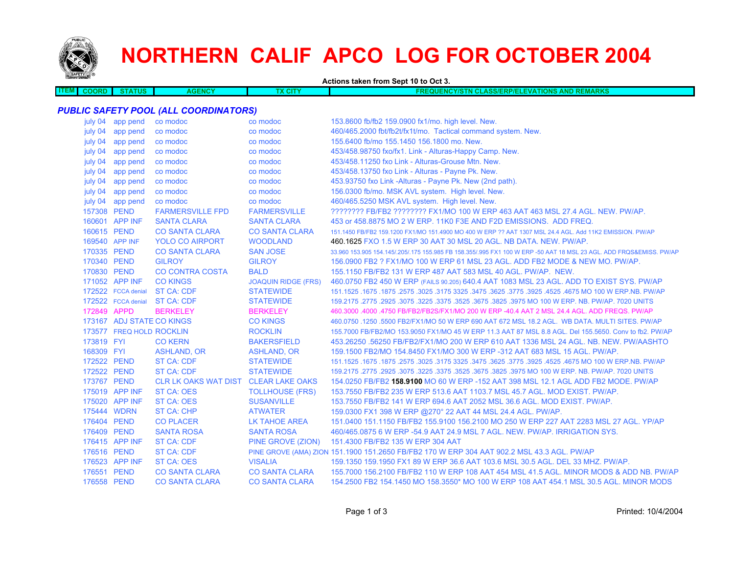

**ITEM**

# **NORTHERN CALIF APCO LOG FOR OCTOBER 2004**

**Actions taken from Sept 10 to Oct 3.**

| ме<br><b>ENCY</b><br><b>AND</b><br><b>EVATIONS</b><br>- 1<br><b>NCY/S</b><br>alif<br><b>ASS/FE</b><br><b>AOORD</b><br>w<br>RP/E<br>АG<br>-171<br>aine<br>.<br>uo<br>.<br>. . | <b>REMARKS</b> |
|------------------------------------------------------------------------------------------------------------------------------------------------------------------------------|----------------|
|                                                                                                                                                                              |                |

# *PUBLIC SAFETY POOL (ALL COORDINATORS)*

| july 04        | app pend                  | co modoc                             | co modoc                   | 153.8600 fb/fb2 159.0900 fx1/mo. high level. New.                                                                   |
|----------------|---------------------------|--------------------------------------|----------------------------|---------------------------------------------------------------------------------------------------------------------|
| july 04        | app pend                  | co modoc                             | co modoc                   | 460/465.2000 fbt/fb2t/fx1t/mo. Tactical command system. New.                                                        |
| july 04        | app pend                  | co modoc                             | co modoc                   | 155.6400 fb/mo 155.1450 156.1800 mo. New.                                                                           |
| july 04        | app pend                  | co modoc                             | co modoc                   | 453/458.98750 fxo/fx1. Link - Alturas-Happy Camp. New.                                                              |
| july 04        | app pend                  | co modoc                             | co modoc                   | 453/458.11250 fxo Link - Alturas-Grouse Mtn. New.                                                                   |
| july 04        | app pend                  | co modoc                             | co modoc                   | 453/458.13750 fxo Link - Alturas - Payne Pk. New.                                                                   |
| july 04        | app pend                  | co modoc                             | co modoc                   | 453.93750 fxo Link -Alturas - Payne Pk. New (2nd path).                                                             |
| july 04        | app pend                  | co modoc                             | co modoc                   | 156.0300 fb/mo. MSK AVL system. High level. New.                                                                    |
| july 04        | app pend                  | co modoc                             | co modoc                   | 460/465.5250 MSK AVL system. High level. New.                                                                       |
| 157308 PEND    |                           | <b>FARMERSVILLE FPD</b>              | <b>FARMERSVILLE</b>        | ???????? FB/FB2 ??????? FX1/MO 100 W ERP 463 AAT 463 MSL 27.4 AGL. NEW. PW/AP.                                      |
|                | 160601 APP INF            | <b>SANTA CLARA</b>                   | <b>SANTA CLARA</b>         | 453 or 458.8875 MO 2 W ERP. 11K0 F3E AND F2D EMISSIONS. ADD FREQ.                                                   |
| 160615 PEND    |                           | <b>CO SANTA CLARA</b>                | <b>CO SANTA CLARA</b>      | 151.1450 FB/FB2 159.1200 FX1/MO 151.4900 MO 400 W ERP ?? AAT 1307 MSL 24.4 AGL. Add 11K2 EMISSION. PW/AP            |
| 169540 APP INF |                           | <b>YOLO CO AIRPORT</b>               | <b>WOODLAND</b>            | 460.1625 FXO 1.5 W ERP 30 AAT 30 MSL 20 AGL. NB DATA. NEW. PW/AP.                                                   |
| 170335 PEND    |                           | <b>CO SANTA CLARA</b>                | <b>SAN JOSE</b>            | 33,960 153,905 154,145/.205/.175 155,985 FB 158,355/.995 FX1 100 W ERP -50 AAT 18 MSL 23 AGL. ADD FRQS&EMISS, PW/AP |
| 170340 PEND    |                           | <b>GILROY</b>                        | <b>GILROY</b>              | 156,0900 FB2 ? FX1/MO 100 W ERP 61 MSL 23 AGL, ADD FB2 MODE & NEW MO, PW/AP.                                        |
| 170830 PEND    |                           | <b>CO CONTRA COSTA</b>               | <b>BALD</b>                | 155.1150 FB/FB2 131 W ERP 487 AAT 583 MSL 40 AGL, PW/AP, NEW.                                                       |
|                | 171052 APP INF            | <b>CO KINGS</b>                      | <b>JOAQUIN RIDGE (FRS)</b> | 460.0750 FB2 450 W ERP (FAILS 90.205) 640.4 AAT 1083 MSL 23 AGL. ADD TO EXIST SYS. PW/AP                            |
|                | 172522 FCCA denial        | <b>ST CA: CDF</b>                    | <b>STATEWIDE</b>           | 151.1525 .1675 .1675 .3625 .3775 .3925 .3925 .3925 .3775 .3925 .3775 .3925 .4525 .1675 .1679 .1679 .1679 .167       |
|                | 172522 FCCA denial        | <b>ST CA: CDF</b>                    | <b>STATEWIDE</b>           | 159.2175 .2775 .2925 .3075 .3225 .3575 .3525 .3675 .3825 .3975 MO 100 W ERP. NB. PW/AP. 7020 UNITS                  |
| 172849 APPD    |                           | <b>BERKELEY</b>                      | <b>BERKELEY</b>            | 460.3000 .4000 .4750 FB/FB2/FB2S/FX1/MO 200 W ERP -40.4 AAT 2 MSL 24.4 AGL. ADD FREQS. PW/AP                        |
|                | 173167 ADJ STATE CO KINGS |                                      | <b>CO KINGS</b>            | 460.0750 .1250 .5500 FB2/FX1/MO 50 W ERP 690 AAT 672 MSL 18.2 AGL. WB DATA. MULTI SITES. PW/AP                      |
|                | 173577 FREQ HOLD ROCKLIN  |                                      | <b>ROCKLIN</b>             | 155,7000 FB/FB2/MO 153,9050 FX1/MO 45 W ERP 11.3 AAT 87 MSL 8.8 AGL, Del 155,5650, Conv to fb2, PW/AP               |
| 173819 FYI     |                           | <b>CO KERN</b>                       | <b>BAKERSFIELD</b>         | 453.26250 .56250 FB/FB2/FX1/MO 200 W ERP 610 AAT 1336 MSL 24 AGL. NB. NEW. PW/AASHTO                                |
| 168309 FYI     |                           | ASHLAND, OR                          | ASHLAND, OR                | 159.1500 FB2/MO 154.8450 FX1/MO 300 W ERP -312 AAT 683 MSL 15 AGL. PW/AP.                                           |
| 172522 PEND    |                           | ST CA: CDF                           | <b>STATEWIDE</b>           | 151.1525 .1675 .1675 .3025 .3475 .3625 .3775 .3625 .3625 .3625 .3475 .3625 .3775 .1675 .1675 .1675 .                |
| 172522 PEND    |                           | ST CA: CDF                           | <b>STATEWIDE</b>           | 159.2175 .2775 .2925 .3075 .3225 .3375 .3525 .3675 .3825 .3975 MO 100 W ERP. NB. PW/AP. 7020 UNITS                  |
| 173767 PEND    |                           | CLR LK OAKS WAT DIST CLEAR LAKE OAKS |                            | 154.0250 FB/FB2 <b>158.9100 MO 60 W ERP -152 AAT 398 MSL 12.1 AGL ADD FB2 MODE. PW/AP</b>                           |
|                | 175019 APP INF            | ST CA: OES                           | <b>TOLLHOUSE (FRS)</b>     | 153.7550 FB/FB2 235 W ERP 513.6 AAT 1103.7 MSL 45.7 AGL. MOD EXIST, PW/AP.                                          |
|                | 175020 APP INF            | <b>ST CA: OES</b>                    | <b>SUSANVILLE</b>          | 153.7550 FB/FB2 141 W ERP 694.6 AAT 2052 MSL 36.6 AGL. MOD EXIST. PW/AP.                                            |
| 175444 WDRN    |                           | <b>ST CA: CHP</b>                    | <b>ATWATER</b>             | 159.0300 FX1 398 W ERP @270° 22 AAT 44 MSL 24.4 AGL. PW/AP.                                                         |
| 176404 PEND    |                           | <b>CO PLACER</b>                     | <b>LK TAHOE AREA</b>       | 151.0400 151.1150 FB/FB2 155.9100 156.2100 MO 250 W ERP 227 AAT 2283 MSL 27 AGL. YP/AP                              |
| 176409 PEND    |                           | <b>SANTA ROSA</b>                    | <b>SANTA ROSA</b>          | 460/465,0875 6 W ERP -54.9 AAT 24.9 MSL 7 AGL, NEW, PW/AP, IRRIGATION SYS.                                          |
|                | 176415 APP INF            | <b>ST CA: CDF</b>                    | PINE GROVE (ZION)          | 151.4300 FB/FB2 135 W ERP 304 AAT                                                                                   |
| 176516 PEND    |                           | <b>ST CA: CDF</b>                    |                            | PINE GROVE (AMA) ZION 151.1900 151.2650 FB/FB2 170 W ERP 304 AAT 902.2 MSL 43.3 AGL. PW/AP                          |
|                | 176523 APP INF            | <b>ST CA: OES</b>                    | <b>VISALIA</b>             | 159.1350 159.1950 FX1 89 W ERP 36.6 AAT 103.6 MSL 30.5 AGL. DEL 33 MHZ. PW/AP.                                      |
| 176551 PEND    |                           | <b>CO SANTA CLARA</b>                | <b>CO SANTA CLARA</b>      | 155.7000 156.2100 FB/FB2 110 W ERP 108 AAT 454 MSL 41.5 AGL. MINOR MODS & ADD NB. PW/AP                             |
| 176558 PEND    |                           | <b>CO SANTA CLARA</b>                | <b>CO SANTA CLARA</b>      | 154.2500 FB2 154.1450 MO 158.3550* MO 100 W ERP 108 AAT 454.1 MSL 30.5 AGL. MINOR MODS                              |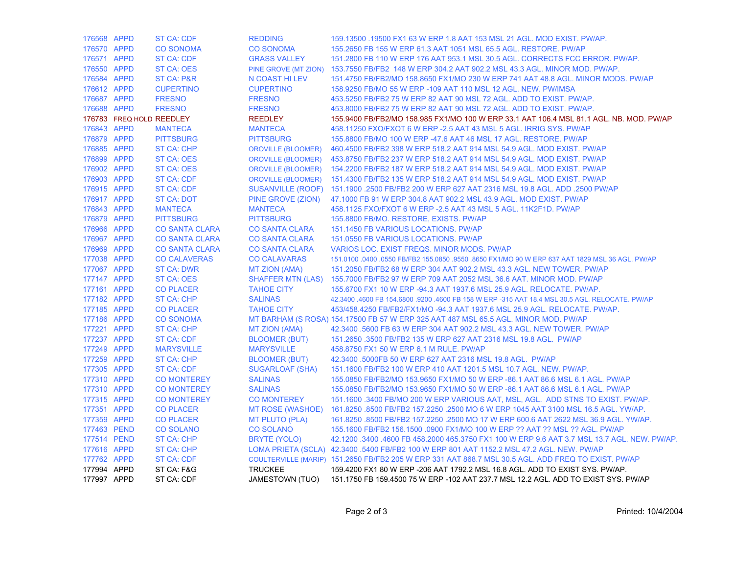| 176568 APPD |                          | <b>ST CA: CDF</b>     | <b>REDDING</b>            | 159.13500 .19500 FX1 63 W ERP 1.8 AAT 153 MSL 21 AGL. MOD EXIST. PW/AP.                             |
|-------------|--------------------------|-----------------------|---------------------------|-----------------------------------------------------------------------------------------------------|
| 176570 APPD |                          | <b>CO SONOMA</b>      | <b>CO SONOMA</b>          | 155,2650 FB 155 W ERP 61.3 AAT 1051 MSL 65.5 AGL, RESTORE, PW/AP                                    |
| 176571 APPD |                          | <b>ST CA: CDF</b>     | <b>GRASS VALLEY</b>       | 151,2800 FB 110 W ERP 176 AAT 953.1 MSL 30.5 AGL, CORRECTS FCC ERROR, PW/AP.                        |
| 176550 APPD |                          | <b>ST CA: OES</b>     |                           | PINE GROVE (MT ZION) 153.7550 FB/FB2 148 W ERP 304.2 AAT 902.2 MSL 43.3 AGL. MINOR MOD. PW/AP.      |
| 176584 APPD |                          | <b>ST CA: P&amp;R</b> | N COAST HI LEV            | 151.4750 FB/FB2/MO 158.8650 FX1/MO 230 W ERP 741 AAT 48.8 AGL. MINOR MODS. PW/AP                    |
| 176612 APPD |                          | <b>CUPERTINO</b>      | <b>CUPERTINO</b>          | 158.9250 FB/MO 55 W ERP -109 AAT 110 MSL 12 AGL. NEW. PW/IMSA                                       |
| 176687 APPD |                          | <b>FRESNO</b>         | <b>FRESNO</b>             | 453.5250 FB/FB2 75 W ERP 82 AAT 90 MSL 72 AGL. ADD TO EXIST. PW/AP.                                 |
| 176688 APPD |                          | <b>FRESNO</b>         | <b>FRESNO</b>             | 453.8000 FB/FB2 75 W ERP 82 AAT 90 MSL 72 AGL. ADD TO EXIST. PW/AP.                                 |
|             | 176783 FREQ HOLD REEDLEY |                       | <b>REEDLEY</b>            | 155.9400 FB/FB2/MO 158.985 FX1/MO 100 W ERP 33.1 AAT 106.4 MSL 81.1 AGL. NB. MOD. PW/AP             |
| 176843 APPD |                          | <b>MANTECA</b>        | <b>MANTECA</b>            | 458.11250 FXO/FXOT 6 W ERP - 2.5 AAT 43 MSL 5 AGL. IRRIG SYS. PW/AP                                 |
| 176879 APPD |                          | <b>PITTSBURG</b>      | <b>PITTSBURG</b>          | 155.8800 FB/MO 100 W ERP -47.6 AAT 46 MSL 17 AGL. RESTORE. PW/AP                                    |
| 176885 APPD |                          | <b>ST CA: CHP</b>     | <b>OROVILLE (BLOOMER)</b> | 460.4500 FB/FB2 398 W ERP 518.2 AAT 914 MSL 54.9 AGL. MOD EXIST. PW/AP                              |
| 176899 APPD |                          | ST CA: OES            |                           | OROVILLE (BLOOMER) 453.8750 FB/FB2 237 W ERP 518.2 AAT 914 MSL 54.9 AGL. MOD EXIST. PW/AP           |
| 176902 APPD |                          | <b>ST CA: OES</b>     |                           | OROVILLE (BLOOMER) 154.2200 FB/FB2 187 W ERP 518.2 AAT 914 MSL 54.9 AGL. MOD EXIST. PW/AP           |
| 176903 APPD |                          | <b>ST CA: CDF</b>     | <b>OROVILLE (BLOOMER)</b> | 151.4300 FB/FB2 135 W ERP 518.2 AAT 914 MSL 54.9 AGL, MOD EXIST, PW/AP                              |
| 176915 APPD |                          | ST CA: CDF            |                           | SUSANVILLE (ROOF) 151.1900 .2500 FB/FB2 200 W ERP 627 AAT 2316 MSL 19.8 AGL. ADD .2500 PW/AP        |
| 176917 APPD |                          | <b>ST CA: DOT</b>     | PINE GROVE (ZION)         | 47.1000 FB 91 W ERP 304.8 AAT 902.2 MSL 43.9 AGL. MOD EXIST. PW/AP                                  |
| 176843 APPD |                          | <b>MANTECA</b>        | <b>MANTECA</b>            | 458.1125 FXO/FXOT 6 W ERP - 2.5 AAT 43 MSL 5 AGL. 11K2F1D. PW/AP                                    |
| 176879 APPD |                          | <b>PITTSBURG</b>      | <b>PITTSBURG</b>          | 155.8800 FB/MO. RESTORE, EXISTS. PW/AP                                                              |
| 176966 APPD |                          | <b>CO SANTA CLARA</b> | <b>CO SANTA CLARA</b>     | 151.1450 FB VARIOUS LOCATIONS. PW/AP                                                                |
| 176967 APPD |                          | <b>CO SANTA CLARA</b> | <b>CO SANTA CLARA</b>     | 151.0550 FB VARIOUS LOCATIONS. PW/AP                                                                |
| 176969 APPD |                          | <b>CO SANTA CLARA</b> | <b>CO SANTA CLARA</b>     | VARIOS LOC. EXIST FREQS. MINOR MODS. PW/AP                                                          |
| 177038 APPD |                          | <b>CO CALAVERAS</b>   | <b>CO CALAVARAS</b>       | 151.0100 .0400 .0550 FB/FB2 155.0850 .9550 .8650 FX1/MO 90 W ERP 637 AAT 1829 MSL 36 AGL. PW/AP     |
| 177067 APPD |                          | <b>ST CA: DWR</b>     | <b>MT ZION (AMA)</b>      | 151,2050 FB/FB2 68 W ERP 304 AAT 902.2 MSL 43.3 AGL, NEW TOWER, PW/AP                               |
| 177147 APPD |                          | <b>ST CA: OES</b>     |                           | SHAFFER MTN (LAS) 155.7000 FB/FB2 97 W ERP 709 AAT 2052 MSL 36.6 AAT. MINOR MOD. PW/AP              |
| 177161 APPD |                          | <b>CO PLACER</b>      | <b>TAHOE CITY</b>         | 155.6700 FX1 10 W ERP -94.3 AAT 1937.6 MSL 25.9 AGL. RELOCATE. PW/AP.                               |
| 177182 APPD |                          | <b>ST CA: CHP</b>     | <b>SALINAS</b>            | 42.3400 .4600 FB 154.6800 .9200 .4600 FB 158 W ERP -315 AAT 18.4 MSL 30.5 AGL. RELOCATE. PW/AP      |
| 177185 APPD |                          | <b>CO PLACER</b>      | <b>TAHOE CITY</b>         | 453/458.4250 FB/FB2/FX1/MO -94.3 AAT 1937.6 MSL 25.9 AGL. RELOCATE. PW/AP.                          |
| 177186 APPD |                          | <b>CO SONOMA</b>      |                           | MT BARHAM (S ROSA) 154.17500 FB 57 W ERP 325 AAT 487 MSL 65.5 AGL. MINOR MOD. PW/AP                 |
| 177221 APPD |                          | <b>ST CA: CHP</b>     | <b>MT ZION (AMA)</b>      | 42.3400 .5600 FB 63 W ERP 304 AAT 902.2 MSL 43.3 AGL. NEW TOWER. PW/AP                              |
| 177237 APPD |                          | <b>ST CA: CDF</b>     | <b>BLOOMER (BUT)</b>      | 151.2650 .3500 FB/FB2 135 W ERP 627 AAT 2316 MSL 19.8 AGL. PW/AP                                    |
| 177249 APPD |                          | <b>MARYSVILLE</b>     | <b>MARYSVILLE</b>         | 458.8750 FX1 50 W ERP 6.1 M RULE. PW/AP                                                             |
| 177259 APPD |                          | <b>ST CA: CHP</b>     | <b>BLOOMER (BUT)</b>      | 42.3400 .5000FB 50 W ERP 627 AAT 2316 MSL 19.8 AGL. PW/AP                                           |
| 177305 APPD |                          | <b>ST CA: CDF</b>     | <b>SUGARLOAF (SHA)</b>    | 151.1600 FB/FB2 100 W ERP 410 AAT 1201.5 MSL 10.7 AGL, NEW, PW/AP.                                  |
| 177310 APPD |                          | <b>CO MONTEREY</b>    | <b>SALINAS</b>            | 155,0850 FB/FB2/MO 153,9650 FX1/MO 50 W ERP -86.1 AAT 86.6 MSL 6.1 AGL, PW/AP                       |
| 177310 APPD |                          | <b>CO MONTEREY</b>    | <b>SALINAS</b>            | 155,0850 FB/FB2/MO 153,9650 FX1/MO 50 W ERP -86.1 AAT 86.6 MSL 6.1 AGL, PW/AP                       |
| 177315 APPD |                          | <b>CO MONTEREY</b>    | <b>CO MONTEREY</b>        | 151.1600 .3400 FB/MO 200 W ERP VARIOUS AAT, MSL, AGL. ADD STNS TO EXIST. PW/AP.                     |
| 177351 APPD |                          | <b>CO PLACER</b>      |                           | MT ROSE (WASHOE) 161.8250 .8500 FB/FB2 157.2250 .2500 MO 6 W ERP 1045 AAT 3100 MSL 16.5 AGL. YW/AP. |
| 177359 APPD |                          | <b>CO PLACER</b>      | <b>MT PLUTO (PLA)</b>     | 161.8250 .8500 FB/FB2 157.2250 .2500 MO 17 W ERP 600.6 AAT 2622 MSL 36.9 AGL. YW/AP.                |
|             | 177463 PEND              | <b>CO SOLANO</b>      | <b>CO SOLANO</b>          | 155.1600 FB/FB2 156.1500 .0900 FX1/MO 100 W ERP ?? AAT ?? MSL ?? AGL. PW/AP                         |
|             | 177514 PEND              | <b>ST CA: CHP</b>     | BRYTE (YOLO)              | 42.1200 .3400 .4600 FB 458.2000 465.3750 FX1 100 W ERP 9.6 AAT 3.7 MSL 13.7 AGL. NEW. PW/AP.        |
| 177616 APPD |                          | <b>ST CA: CHP</b>     |                           | LOMA PRIETA (SCLA) 42.3400 .5400 FB/FB2 100 W ERP 801 AAT 1152.2 MSL 47.2 AGL. NEW. PW/AP           |
| 177762 APPD |                          | <b>ST CA: CDF</b>     |                           | COULTERVILLE (MARIP) 151.2650 FB/FB2 205 W ERP 331 AAT 868.7 MSL 30.5 AGL. ADD FREQ TO EXIST. PW/AP |
| 177994 APPD |                          | ST CA: F&G            | <b>TRUCKEE</b>            | 159.4200 FX1 80 W ERP -206 AAT 1792.2 MSL 16.8 AGL. ADD TO EXIST SYS. PW/AP.                        |
| 177997 APPD |                          | ST CA: CDF            | JAMESTOWN (TUO)           | 151.1750 FB 159.4500 75 W ERP -102 AAT 237.7 MSL 12.2 AGL. ADD TO EXIST SYS. PW/AP                  |